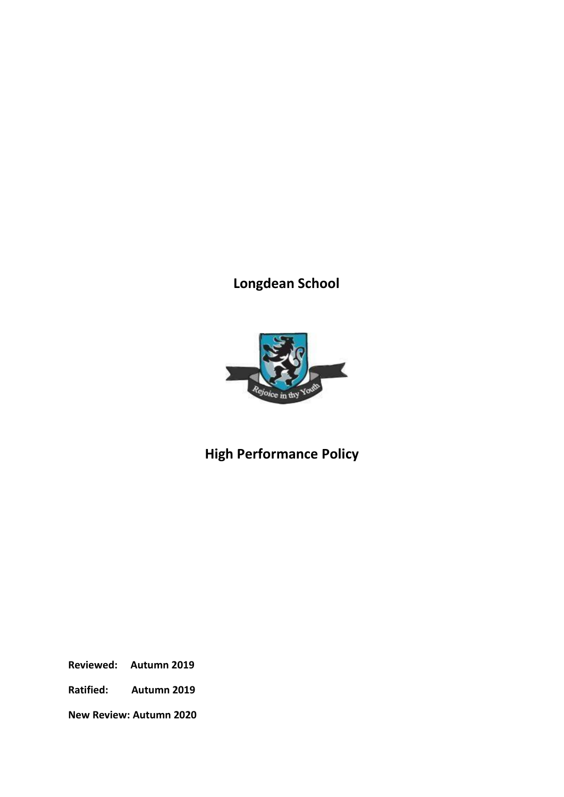# **Longdean School**



# **High Performance Policy**

**Reviewed: Autumn 2019**

**Ratified: Autumn 2019**

**New Review: Autumn 2020**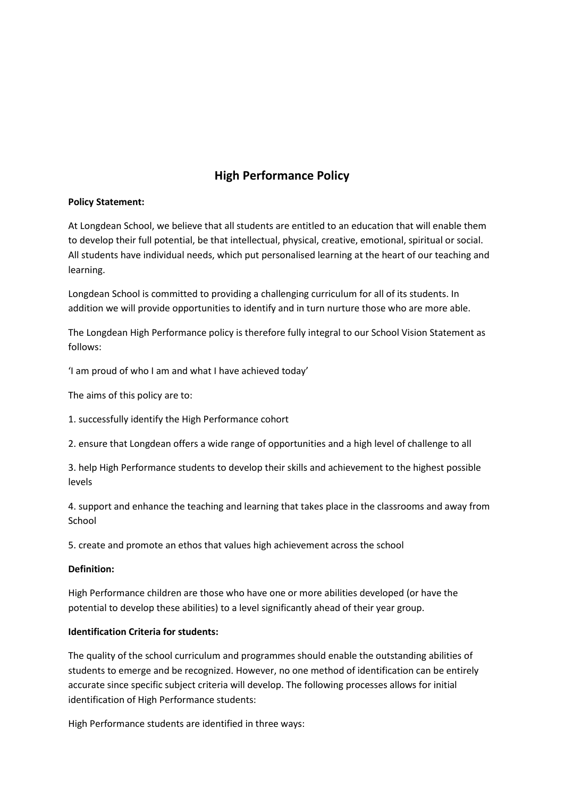# **High Performance Policy**

#### **Policy Statement:**

At Longdean School, we believe that all students are entitled to an education that will enable them to develop their full potential, be that intellectual, physical, creative, emotional, spiritual or social. All students have individual needs, which put personalised learning at the heart of our teaching and learning.

Longdean School is committed to providing a challenging curriculum for all of its students. In addition we will provide opportunities to identify and in turn nurture those who are more able.

The Longdean High Performance policy is therefore fully integral to our School Vision Statement as follows:

'I am proud of who I am and what I have achieved today'

The aims of this policy are to:

1. successfully identify the High Performance cohort

2. ensure that Longdean offers a wide range of opportunities and a high level of challenge to all

3. help High Performance students to develop their skills and achievement to the highest possible levels

4. support and enhance the teaching and learning that takes place in the classrooms and away from School

5. create and promote an ethos that values high achievement across the school

#### **Definition:**

High Performance children are those who have one or more abilities developed (or have the potential to develop these abilities) to a level significantly ahead of their year group.

#### **Identification Criteria for students:**

The quality of the school curriculum and programmes should enable the outstanding abilities of students to emerge and be recognized. However, no one method of identification can be entirely accurate since specific subject criteria will develop. The following processes allows for initial identification of High Performance students:

High Performance students are identified in three ways: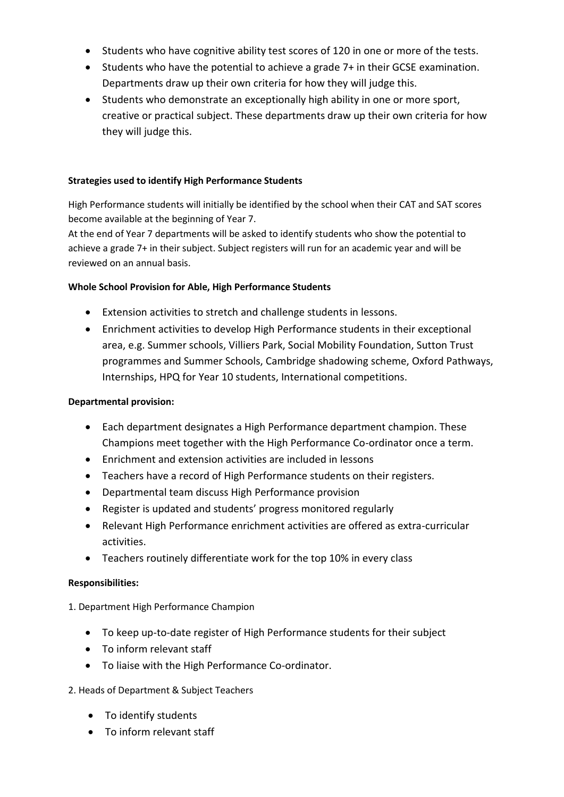- Students who have cognitive ability test scores of 120 in one or more of the tests.
- Students who have the potential to achieve a grade 7+ in their GCSE examination. Departments draw up their own criteria for how they will judge this.
- Students who demonstrate an exceptionally high ability in one or more sport, creative or practical subject. These departments draw up their own criteria for how they will judge this.

#### **Strategies used to identify High Performance Students**

High Performance students will initially be identified by the school when their CAT and SAT scores become available at the beginning of Year 7.

At the end of Year 7 departments will be asked to identify students who show the potential to achieve a grade 7+ in their subject. Subject registers will run for an academic year and will be reviewed on an annual basis.

#### **Whole School Provision for Able, High Performance Students**

- Extension activities to stretch and challenge students in lessons.
- Enrichment activities to develop High Performance students in their exceptional area, e.g. Summer schools, Villiers Park, Social Mobility Foundation, Sutton Trust programmes and Summer Schools, Cambridge shadowing scheme, Oxford Pathways, Internships, HPQ for Year 10 students, International competitions.

#### **Departmental provision:**

- Each department designates a High Performance department champion. These Champions meet together with the High Performance Co-ordinator once a term.
- Enrichment and extension activities are included in lessons
- Teachers have a record of High Performance students on their registers.
- Departmental team discuss High Performance provision
- Register is updated and students' progress monitored regularly
- Relevant High Performance enrichment activities are offered as extra-curricular activities.
- Teachers routinely differentiate work for the top 10% in every class

#### **Responsibilities:**

1. Department High Performance Champion

- To keep up-to-date register of High Performance students for their subject
- To inform relevant staff
- To liaise with the High Performance Co-ordinator.

#### 2. Heads of Department & Subject Teachers

- To identify students
- To inform relevant staff